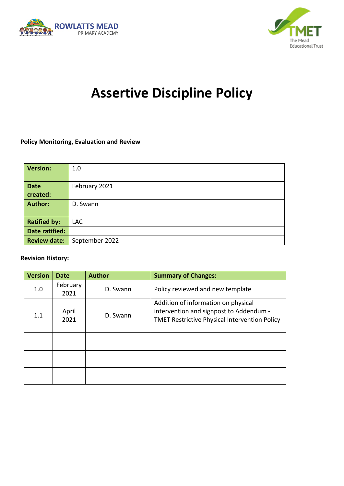



# **Assertive Discipline Policy**

#### **Policy Monitoring, Evaluation and Review**

| <b>Version:</b>       | 1.0            |
|-----------------------|----------------|
| <b>Date</b>           | February 2021  |
| created:              |                |
| <b>Author:</b>        | D. Swann       |
|                       |                |
| <b>Ratified by:</b>   | <b>LAC</b>     |
| <b>Date ratified:</b> |                |
| <b>Review date:</b>   | September 2022 |

#### **Revision History:**

| <b>Version</b> | Date             | <b>Author</b> | <b>Summary of Changes:</b>                                                                                                             |
|----------------|------------------|---------------|----------------------------------------------------------------------------------------------------------------------------------------|
| 1.0            | February<br>2021 | D. Swann      | Policy reviewed and new template                                                                                                       |
| 1.1            | April<br>2021    | D. Swann      | Addition of information on physical<br>intervention and signpost to Addendum -<br><b>TMET Restrictive Physical Intervention Policy</b> |
|                |                  |               |                                                                                                                                        |
|                |                  |               |                                                                                                                                        |
|                |                  |               |                                                                                                                                        |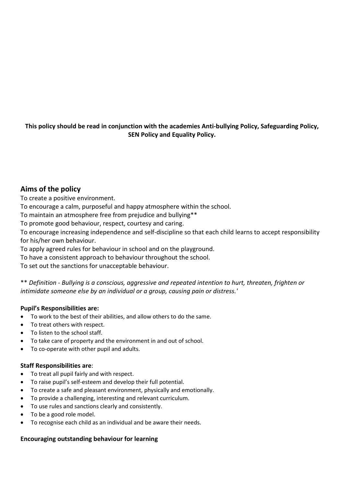#### **This policy should be read in conjunction with the academies Anti-bullying Policy, Safeguarding Policy, SEN Policy and Equality Policy.**

#### **Aims of the policy**

To create a positive environment.

To encourage a calm, purposeful and happy atmosphere within the school.

To maintain an atmosphere free from prejudice and bullying\*\*

To promote good behaviour, respect, courtesy and caring.

To encourage increasing independence and self-discipline so that each child learns to accept responsibility for his/her own behaviour.

To apply agreed rules for behaviour in school and on the playground.

To have a consistent approach to behaviour throughout the school.

To set out the sanctions for unacceptable behaviour.

\*\* *Definition - Bullying is a conscious, aggressive and repeated intention to hurt, threaten, frighten or intimidate someone else by an individual or a group, causing pain or distress.'*

#### **Pupil's Responsibilities are:**

- To work to the best of their abilities, and allow others to do the same.
- To treat others with respect.
- To listen to the school staff.
- To take care of property and the environment in and out of school.
- To co-operate with other pupil and adults.

#### **Staff Responsibilities are**:

- To treat all pupil fairly and with respect.
- To raise pupil's self-esteem and develop their full potential.
- To create a safe and pleasant environment, physically and emotionally.
- To provide a challenging, interesting and relevant curriculum.
- To use rules and sanctions clearly and consistently.
- To be a good role model.
- To recognise each child as an individual and be aware their needs.

#### **Encouraging outstanding behaviour for learning**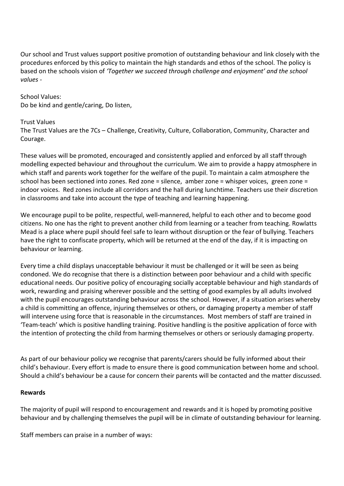Our school and Trust values support positive promotion of outstanding behaviour and link closely with the procedures enforced by this policy to maintain the high standards and ethos of the school. The policy is based on the schools vision of *'Together we succeed through challenge and enjoyment' and the school values -*

School Values: Do be kind and gentle/caring, Do listen,

#### Trust Values

The Trust Values are the 7Cs – Challenge, Creativity, Culture, Collaboration, Community, Character and Courage.

These values will be promoted, encouraged and consistently applied and enforced by all staff through modelling expected behaviour and throughout the curriculum. We aim to provide a happy atmosphere in which staff and parents work together for the welfare of the pupil. To maintain a calm atmosphere the school has been sectioned into zones. Red zone = silence, amber zone = whisper voices, green zone = indoor voices. Red zones include all corridors and the hall during lunchtime. Teachers use their discretion in classrooms and take into account the type of teaching and learning happening.

We encourage pupil to be polite, respectful, well-mannered, helpful to each other and to become good citizens. No one has the right to prevent another child from learning or a teacher from teaching. Rowlatts Mead is a place where pupil should feel safe to learn without disruption or the fear of bullying. Teachers have the right to confiscate property, which will be returned at the end of the day, if it is impacting on behaviour or learning.

Every time a child displays unacceptable behaviour it must be challenged or it will be seen as being condoned. We do recognise that there is a distinction between poor behaviour and a child with specific educational needs. Our positive policy of encouraging socially acceptable behaviour and high standards of work, rewarding and praising wherever possible and the setting of good examples by all adults involved with the pupil encourages outstanding behaviour across the school. However, if a situation arises whereby a child is committing an offence, injuring themselves or others, or damaging property a member of staff will intervene using force that is reasonable in the circumstances. Most members of staff are trained in 'Team-teach' which is positive handling training. Positive handling is the positive application of force with the intention of protecting the child from harming themselves or others or seriously damaging property.

As part of our behaviour policy we recognise that parents/carers should be fully informed about their child's behaviour. Every effort is made to ensure there is good communication between home and school. Should a child's behaviour be a cause for concern their parents will be contacted and the matter discussed.

#### **Rewards**

The majority of pupil will respond to encouragement and rewards and it is hoped by promoting positive behaviour and by challenging themselves the pupil will be in climate of outstanding behaviour for learning.

Staff members can praise in a number of ways: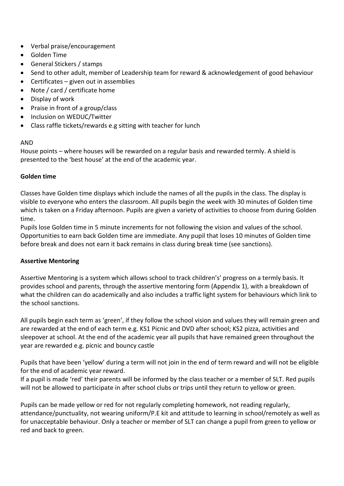- Verbal praise/encouragement
- Golden Time
- General Stickers / stamps
- Send to other adult, member of Leadership team for reward & acknowledgement of good behaviour
- Certificates  $-$  given out in assemblies
- Note / card / certificate home
- Display of work
- Praise in front of a group/class
- Inclusion on WEDUC/Twitter
- Class raffle tickets/rewards e.g sitting with teacher for lunch

#### AND

House points – where houses will be rewarded on a regular basis and rewarded termly. A shield is presented to the 'best house' at the end of the academic year.

#### **Golden time**

Classes have Golden time displays which include the names of all the pupils in the class. The display is visible to everyone who enters the classroom. All pupils begin the week with 30 minutes of Golden time which is taken on a Friday afternoon. Pupils are given a variety of activities to choose from during Golden time.

Pupils lose Golden time in 5 minute increments for not following the vision and values of the school. Opportunities to earn back Golden time are immediate. Any pupil that loses 10 minutes of Golden time before break and does not earn it back remains in class during break time (see sanctions).

#### **Assertive Mentoring**

Assertive Mentoring is a system which allows school to track children's' progress on a termly basis. It provides school and parents, through the assertive mentoring form (Appendix 1), with a breakdown of what the children can do academically and also includes a traffic light system for behaviours which link to the school sanctions.

All pupils begin each term as 'green', if they follow the school vision and values they will remain green and are rewarded at the end of each term e.g. KS1 Picnic and DVD after school; KS2 pizza, activities and sleepover at school. At the end of the academic year all pupils that have remained green throughout the year are rewarded e.g. picnic and bouncy castle

Pupils that have been 'yellow' during a term will not join in the end of term reward and will not be eligible for the end of academic year reward.

If a pupil is made 'red' their parents will be informed by the class teacher or a member of SLT. Red pupils will not be allowed to participate in after school clubs or trips until they return to yellow or green.

Pupils can be made yellow or red for not regularly completing homework, not reading regularly, attendance/punctuality, not wearing uniform/P.E kit and attitude to learning in school/remotely as well as for unacceptable behaviour. Only a teacher or member of SLT can change a pupil from green to yellow or red and back to green.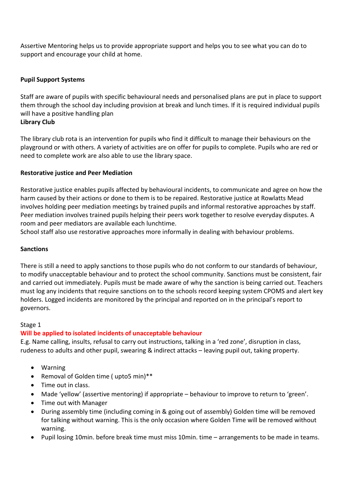Assertive Mentoring helps us to provide appropriate support and helps you to see what you can do to support and encourage your child at home.

#### **Pupil Support Systems**

Staff are aware of pupils with specific behavioural needs and personalised plans are put in place to support them through the school day including provision at break and lunch times. If it is required individual pupils will have a positive handling plan **Library Club**

The library club rota is an intervention for pupils who find it difficult to manage their behaviours on the playground or with others. A variety of activities are on offer for pupils to complete. Pupils who are red or need to complete work are also able to use the library space.

#### **Restorative justice and Peer Mediation**

Restorative justice enables pupils affected by behavioural incidents, to communicate and agree on how the harm caused by their actions or done to them is to be repaired. Restorative justice at Rowlatts Mead involves holding peer mediation meetings by trained pupils and informal restorative approaches by staff. Peer mediation involves trained pupils helping their peers work together to resolve everyday disputes. A room and peer mediators are available each lunchtime.

School staff also use restorative approaches more informally in dealing with behaviour problems.

#### **Sanctions**

There is still a need to apply sanctions to those pupils who do not conform to our standards of behaviour, to modify unacceptable behaviour and to protect the school community. Sanctions must be consistent, fair and carried out immediately. Pupils must be made aware of why the sanction is being carried out. Teachers must log any incidents that require sanctions on to the schools record keeping system CPOMS and alert key holders. Logged incidents are monitored by the principal and reported on in the principal's report to governors.

#### Stage 1

#### **Will be applied to isolated incidents of unacceptable behaviour**

E.g. Name calling, insults, refusal to carry out instructions, talking in a 'red zone', disruption in class, rudeness to adults and other pupil, swearing & indirect attacks – leaving pupil out, taking property.

- Warning
- Removal of Golden time ( upto5 min)\*\*
- Time out in class.
- Made 'yellow' (assertive mentoring) if appropriate behaviour to improve to return to 'green'.
- Time out with Manager
- During assembly time (including coming in & going out of assembly) Golden time will be removed for talking without warning. This is the only occasion where Golden Time will be removed without warning.
- Pupil losing 10min. before break time must miss 10min. time arrangements to be made in teams.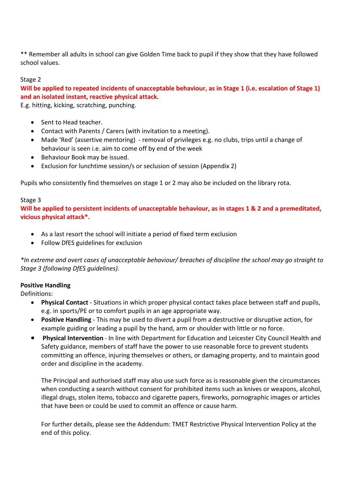\*\* Remember all adults in school can give Golden Time back to pupil if they show that they have followed school values.

#### Stage 2

**Will be applied to repeated incidents of unacceptable behaviour, as in Stage 1 (i.e. escalation of Stage 1) and an isolated instant, reactive physical attack.**

E.g. hitting, kicking, scratching, punching.

- Sent to Head teacher.
- Contact with Parents / Carers (with invitation to a meeting).
- Made 'Red' (assertive mentoring) removal of privileges e.g. no clubs, trips until a change of behaviour is seen i.e. aim to come off by end of the week
- Behaviour Book may be issued.
- Exclusion for lunchtime session/s or seclusion of session (Appendix 2)

Pupils who consistently find themselves on stage 1 or 2 may also be included on the library rota.

#### Stage 3

**Will be applied to persistent incidents of unacceptable behaviour, as in stages 1 & 2 and a premeditated, vicious physical attack\*.**

- As a last resort the school will initiate a period of fixed term exclusion
- Follow DfES guidelines for exclusion

*\*In extreme and overt cases of unacceptable behaviour/ breaches of discipline the school may go straight to Stage 3 (following DfES guidelines).*

#### **Positive Handling**

Definitions:

- **Physical Contact** Situations in which proper physical contact takes place between staff and pupils, e.g. in sports/PE or to comfort pupils in an age appropriate way.
- **Positive Handling** This may be used to divert a pupil from a destructive or disruptive action, for example guiding or leading a pupil by the hand, arm or shoulder with little or no force.
- **Physical Intervention** In line with Department for Education and Leicester City Council Health and Safety guidance, members of staff have the power to use reasonable force to prevent students committing an offence, injuring themselves or others, or damaging property, and to maintain good order and discipline in the academy.

The Principal and authorised staff may also use such force as is reasonable given the circumstances when conducting a search without consent for prohibited items such as knives or weapons, alcohol, illegal drugs, stolen items, tobacco and cigarette papers, fireworks, pornographic images or articles that have been or could be used to commit an offence or cause harm.

For further details, please see the Addendum: TMET Restrictive Physical Intervention Policy at the end of this policy.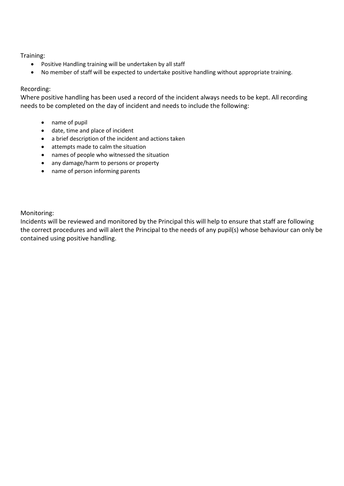Training:

- Positive Handling training will be undertaken by all staff
- No member of staff will be expected to undertake positive handling without appropriate training.

#### Recording:

Where positive handling has been used a record of the incident always needs to be kept. All recording needs to be completed on the day of incident and needs to include the following:

- name of pupil
- date, time and place of incident
- a brief description of the incident and actions taken
- attempts made to calm the situation
- names of people who witnessed the situation
- any damage/harm to persons or property
- name of person informing parents

Monitoring:

Incidents will be reviewed and monitored by the Principal this will help to ensure that staff are following the correct procedures and will alert the Principal to the needs of any pupil(s) whose behaviour can only be contained using positive handling.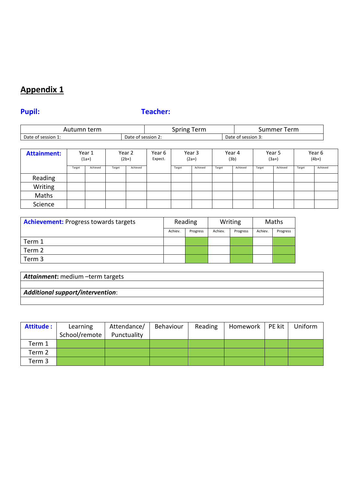## **Appendix 1**

## **Pupil: Teacher:**

| term<br>Ш<br>ιu                         | $\sim$<br>.<br>⊷<br>Ш<br>JU.<br>$\sim$ $\sim$ $\sim$ $\sim$ $\sim$ $\sim$ $\sim$ | 'erm<br>пе<br>JU.            |      |              |
|-----------------------------------------|----------------------------------------------------------------------------------|------------------------------|------|--------------|
| Date<br>$\cdot$ session $\cdot$ .<br>0t | Date (<br>0t                                                                     | $\cdot$ session $\epsilon$ . | Jate | * session 3. |

| <b>Attainment:</b> | Year 1<br>$(1a+)$ |          | Year 2<br>$(2b+)$ |          | Year 3<br>Year 6<br>Expect.<br>$(2a+)$ |        | Year 4<br>(3b) |        | Year 5<br>$(3a+)$ |        | Year 6<br>$(4b+)$ |        |          |
|--------------------|-------------------|----------|-------------------|----------|----------------------------------------|--------|----------------|--------|-------------------|--------|-------------------|--------|----------|
|                    | Target            | Achieved | Target            | Achieved |                                        | Target | Achieved       | Target | Achieved          | Target | Achieved          | Target | Achieved |
| Reading            |                   |          |                   |          |                                        |        |                |        |                   |        |                   |        |          |
| Writing            |                   |          |                   |          |                                        |        |                |        |                   |        |                   |        |          |
| Maths              |                   |          |                   |          |                                        |        |                |        |                   |        |                   |        |          |
| Science            |                   |          |                   |          |                                        |        |                |        |                   |        |                   |        |          |

| <b>Achievement:</b> Progress towards targets | Reading |          |         | Writing  | Maths   |          |
|----------------------------------------------|---------|----------|---------|----------|---------|----------|
|                                              | Achiev. | Progress | Achiev. | Progress | Achiev. | Progress |
| Term 1                                       |         |          |         |          |         |          |
| Term 2                                       |         |          |         |          |         |          |
| Term 3                                       |         |          |         |          |         |          |

| Attainment: medium -term targets        |  |  |  |  |  |  |  |
|-----------------------------------------|--|--|--|--|--|--|--|
|                                         |  |  |  |  |  |  |  |
| <b>Additional support/intervention:</b> |  |  |  |  |  |  |  |
|                                         |  |  |  |  |  |  |  |

| Attitude : | Learning<br>School/remote | Attendance/<br>Punctuality | Behaviour | Reading | Homework | PE kit | Uniform |
|------------|---------------------------|----------------------------|-----------|---------|----------|--------|---------|
| Term 1     |                           |                            |           |         |          |        |         |
| Term 2     |                           |                            |           |         |          |        |         |
| Term 3     |                           |                            |           |         |          |        |         |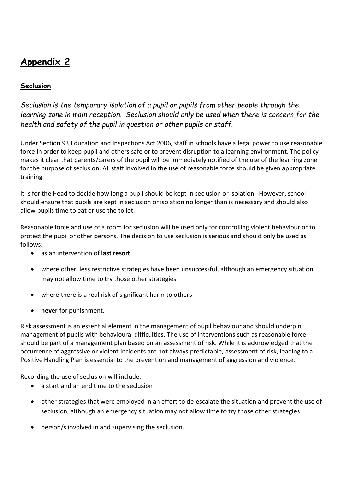## **Appendix 2**

### **Seclusion**

*Seclusion is the temporary isolation of a pupil or pupils from other people through the learning zone in main reception. Seclusion should only be used when there is concern for the health and safety of the pupil in question or other pupils or staff.*

Under Section 93 Education and Inspections Act 2006, staff in schools have a legal power to use reasonable force in order to keep pupil and others safe or to prevent disruption to a learning environment. The policy makes it clear that parents/carers of the pupil will be immediately notified of the use of the learning zone for the purpose of seclusion. All staff involved in the use of reasonable force should be given appropriate training.

It is for the Head to decide how long a pupil should be kept in seclusion or isolation. However, school should ensure that pupils are kept in seclusion or isolation no longer than is necessary and should also allow pupils time to eat or use the toilet.

Reasonable force and use of a room for seclusion will be used only for controlling violent behaviour or to protect the pupil or other persons. The decision to use seclusion is serious and should only be used as follows:

- as an intervention of **last resort**
- where other, less restrictive strategies have been unsuccessful, although an emergency situation may not allow time to try those other strategies
- where there is a real risk of significant harm to others
- **never** for punishment.

Risk assessment is an essential element in the management of pupil behaviour and should underpin management of pupils with behavioural difficulties. The use of interventions such as reasonable force should be part of a management plan based on an assessment of risk. While it is acknowledged that the occurrence of aggressive or violent incidents are not always predictable, assessment of risk, leading to a Positive Handling Plan is essential to the prevention and management of aggression and violence.

Recording the use of seclusion will include:

- a start and an end time to the seclusion
- other strategies that were employed in an effort to de-escalate the situation and prevent the use of seclusion, although an emergency situation may not allow time to try those other strategies
- person/s involved in and supervising the seclusion.